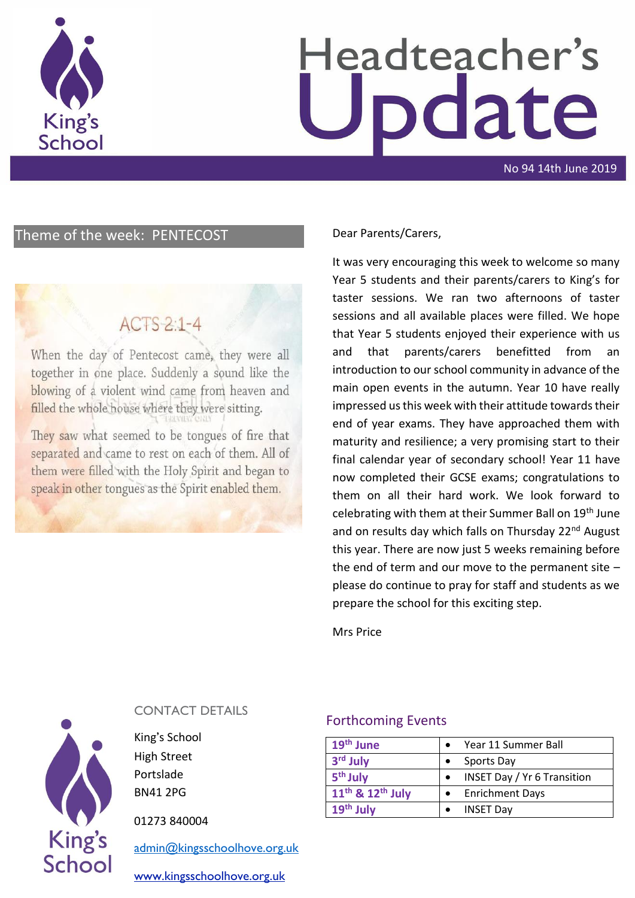

# Headteacher's odate

No 94 14th June 2019

### Theme of the week: PENTECOST Dear Parents/Carers,

# $ACTS-2:1-4$

When the day of Pentecost came, they were all together in one place. Suddenly a sound like the blowing of a violent wind came from heaven and filled the whole house where they were sitting.

They saw what seemed to be tongues of fire that separated and came to rest on each of them. All of them were filled with the Holy Spirit and began to speak in other tongues as the Spirit enabled them.

It was very encouraging this week to welcome so many Year 5 students and their parents/carers to King's for taster sessions. We ran two afternoons of taster sessions and all available places were filled. We hope that Year 5 students enjoyed their experience with us and that parents/carers benefitted from an introduction to our school community in advance of the main open events in the autumn. Year 10 have really impressed us this week with their attitude towards their end of year exams. They have approached them with maturity and resilience; a very promising start to their final calendar year of secondary school! Year 11 have now completed their GCSE exams; congratulations to them on all their hard work. We look forward to celebrating with them at their Summer Ball on 19th June and on results day which falls on Thursday 22<sup>nd</sup> August this year. There are now just 5 weeks remaining before the end of term and our move to the permanent site – please do continue to pray for staff and students as we prepare the school for this exciting step.

Mrs Price



#### CONTACT DETAILS

King's School High Street Portslade BN41 2PG

01273 840004

[admin@kingsschoolhove.org.uk](mailto:admin@kingsschoolhove.org.uk)

[www.kingsschoolhove.org.uk](http://www.kingsschoolhove.org.uk/)

#### Forthcoming Events

| 19 <sup>th</sup> June                    | Year 11 Summer Ball                |
|------------------------------------------|------------------------------------|
| 3 <sup>rd</sup> July                     | Sports Day                         |
| 5 <sup>th</sup> July                     | <b>INSET Day / Yr 6 Transition</b> |
| 11 <sup>th</sup> & 12 <sup>th</sup> July | <b>Enrichment Days</b>             |
| $19th$ July                              | <b>INSET Day</b>                   |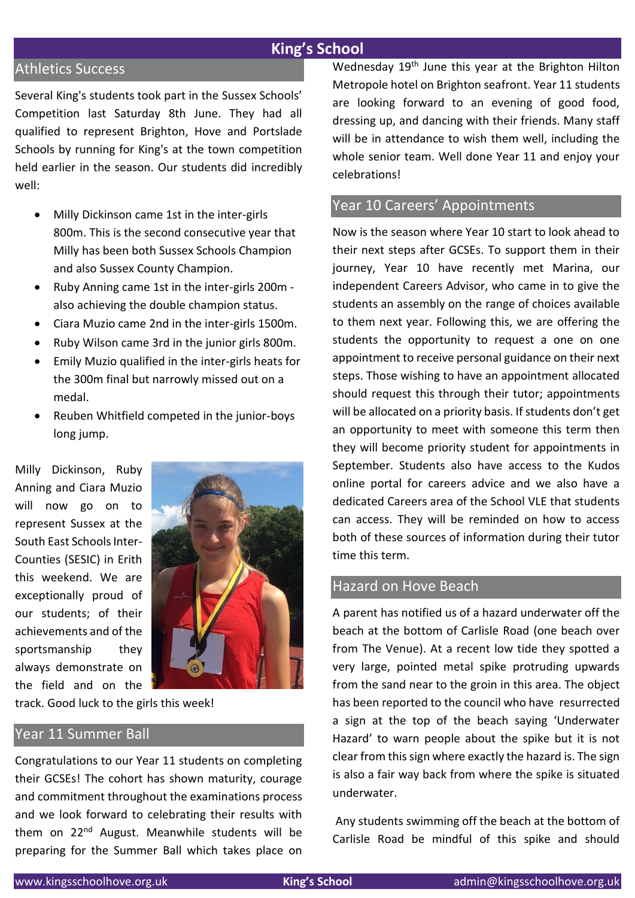#### **King's School**

#### Athletics Success

Several King's students took part in the Sussex Schools' Competition last Saturday 8th June. They had all qualified to represent Brighton, Hove and Portslade Schools by running for King's at the town competition held earlier in the season. Our students did incredibly well:

- Milly Dickinson came 1st in the inter-girls 800m. This is the second consecutive year that Milly has been both Sussex Schools Champion and also Sussex County Champion.
- Ruby Anning came 1st in the inter-girls 200m also achieving the double champion status.
- Ciara Muzio came 2nd in the inter-girls 1500m.
- Ruby Wilson came 3rd in the junior girls 800m.
- Emily Muzio qualified in the inter-girls heats for the 300m final but narrowly missed out on a medal.
- Reuben Whitfield competed in the junior-boys long jump.

Milly Dickinson, Ruby Anning and Ciara Muzio will now go on to represent Sussex at the South East Schools Inter-Counties (SESIC) in Erith this weekend. We are exceptionally proud of our students; of their achievements and of the sportsmanship they always demonstrate on the field and on the



track. Good luck to the girls this week!

#### Year 11 Summer Ball

Congratulations to our Year 11 students on completing their GCSEs! The cohort has shown maturity, courage and commitment throughout the examinations process and we look forward to celebrating their results with them on 22<sup>nd</sup> August. Meanwhile students will be preparing for the Summer Ball which takes place on Wednesday 19<sup>th</sup> June this year at the Brighton Hilton Metropole hotel on Brighton seafront. Year 11 students are looking forward to an evening of good food, dressing up, and dancing with their friends. Many staff will be in attendance to wish them well, including the whole senior team. Well done Year 11 and enjoy your celebrations!

#### Year 10 Careers' Appointments

Now is the season where Year 10 start to look ahead to their next steps after GCSEs. To support them in their journey, Year 10 have recently met Marina, our independent Careers Advisor, who came in to give the students an assembly on the range of choices available to them next year. Following this, we are offering the students the opportunity to request a one on one appointment to receive personal guidance on their next steps. Those wishing to have an appointment allocated should request this through their tutor; appointments will be allocated on a priority basis. If students don't get an opportunity to meet with someone this term then they will become priority student for appointments in September. Students also have access to the Kudos online portal for careers advice and we also have a dedicated Careers area of the School VLE that students can access. They will be reminded on how to access both of these sources of information during their tutor time this term.

#### Hazard on Hove Beach

A parent has notified us of a hazard underwater off the beach at the bottom of Carlisle Road (one beach over from The Venue). At a recent low tide they spotted a very large, pointed metal spike protruding upwards from the sand near to the groin in this area. The object has been reported to the council who have resurrected a sign at the top of the beach saying 'Underwater Hazard' to warn people about the spike but it is not clear from this sign where exactly the hazard is. The sign is also a fair way back from where the spike is situated underwater.

Any students swimming off the beach at the bottom of Carlisle Road be mindful of this spike and should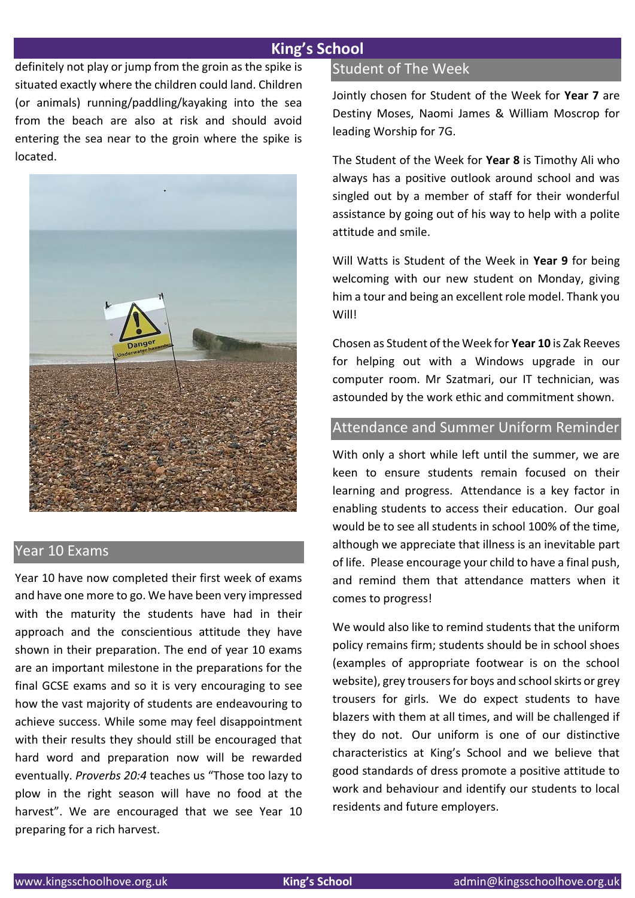#### **King's School**

definitely not play or jump from the groin as the spike is situated exactly where the children could land. Children (or animals) running/paddling/kayaking into the sea from the beach are also at risk and should avoid entering the sea near to the groin where the spike is located.



#### Year 10 Exams

Year 10 have now completed their first week of exams and have one more to go. We have been very impressed with the maturity the students have had in their approach and the conscientious attitude they have shown in their preparation. The end of year 10 exams are an important milestone in the preparations for the final GCSE exams and so it is very encouraging to see how the vast majority of students are endeavouring to achieve success. While some may feel disappointment with their results they should still be encouraged that hard word and preparation now will be rewarded eventually. *Proverbs 20:4* teaches us "Those too lazy to plow in the right season will have no food at the harvest". We are encouraged that we see Year 10 preparing for a rich harvest.

#### Student of The Week

Jointly chosen for Student of the Week for **Year 7** are Destiny Moses, Naomi James & William Moscrop for leading Worship for 7G.

The Student of the Week for **Year 8** is Timothy Ali who always has a positive outlook around school and was singled out by a member of staff for their wonderful assistance by going out of his way to help with a polite attitude and smile.

Will Watts is Student of the Week in **Year 9** for being welcoming with our new student on Monday, giving him a tour and being an excellent role model. Thank you Will!

Chosen as Student of the Week for **Year 10** is Zak Reeves for helping out with a Windows upgrade in our computer room. Mr Szatmari, our IT technician, was astounded by the work ethic and commitment shown.

## Attendance and Summer Uniform Reminder

With only a short while left until the summer, we are keen to ensure students remain focused on their learning and progress. Attendance is a key factor in enabling students to access their education. Our goal would be to see all students in school 100% of the time, although we appreciate that illness is an inevitable part of life. Please encourage your child to have a final push, and remind them that attendance matters when it comes to progress!

We would also like to remind students that the uniform policy remains firm; students should be in school shoes (examples of appropriate footwear is on the school website), grey trousers for boys and school skirts or grey trousers for girls. We do expect students to have blazers with them at all times, and will be challenged if they do not. Our uniform is one of our distinctive characteristics at King's School and we believe that good standards of dress promote a positive attitude to work and behaviour and identify our students to local residents and future employers.